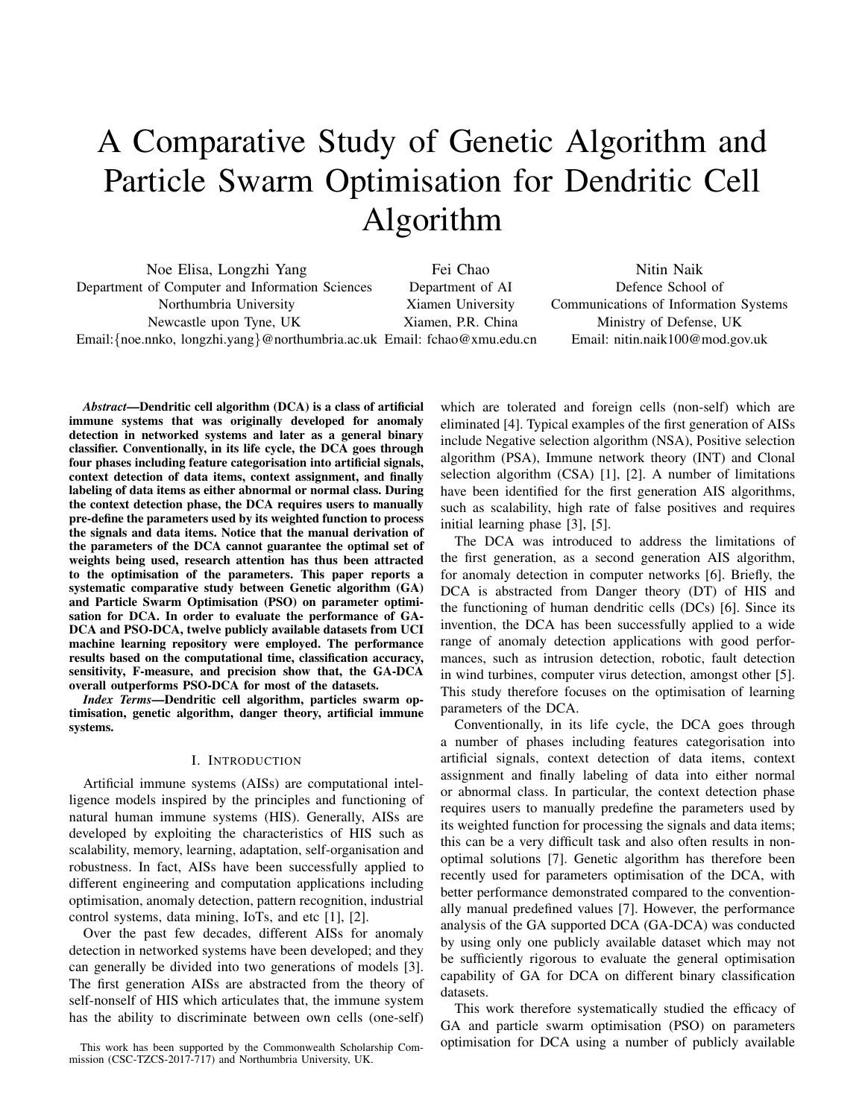# A Comparative Study of Genetic Algorithm and Particle Swarm Optimisation for Dendritic Cell Algorithm

Noe Elisa, Longzhi Yang Department of Computer and Information Sciences Northumbria University Newcastle upon Tyne, UK Email:{noe.nnko, longzhi.yang}@northumbria.ac.uk Email: fchao@xmu.edu.cn Fei Chao Department of AI Xiamen University Xiamen, P.R. China Nitin Naik Defence School of Communications of Information Systems Ministry of Defense, UK Email: nitin.naik100@mod.gov.uk

*Abstract*—Dendritic cell algorithm (DCA) is a class of artificial immune systems that was originally developed for anomaly detection in networked systems and later as a general binary classifier. Conventionally, in its life cycle, the DCA goes through four phases including feature categorisation into artificial signals, context detection of data items, context assignment, and finally labeling of data items as either abnormal or normal class. During the context detection phase, the DCA requires users to manually pre-define the parameters used by its weighted function to process the signals and data items. Notice that the manual derivation of the parameters of the DCA cannot guarantee the optimal set of weights being used, research attention has thus been attracted to the optimisation of the parameters. This paper reports a systematic comparative study between Genetic algorithm (GA) and Particle Swarm Optimisation (PSO) on parameter optimisation for DCA. In order to evaluate the performance of GA-DCA and PSO-DCA, twelve publicly available datasets from UCI machine learning repository were employed. The performance results based on the computational time, classification accuracy, sensitivity, F-measure, and precision show that, the GA-DCA overall outperforms PSO-DCA for most of the datasets.

*Index Terms*—Dendritic cell algorithm, particles swarm optimisation, genetic algorithm, danger theory, artificial immune systems.

#### I. INTRODUCTION

Artificial immune systems (AISs) are computational intelligence models inspired by the principles and functioning of natural human immune systems (HIS). Generally, AISs are developed by exploiting the characteristics of HIS such as scalability, memory, learning, adaptation, self-organisation and robustness. In fact, AISs have been successfully applied to different engineering and computation applications including optimisation, anomaly detection, pattern recognition, industrial control systems, data mining, IoTs, and etc [1], [2].

Over the past few decades, different AISs for anomaly detection in networked systems have been developed; and they can generally be divided into two generations of models [3]. The first generation AISs are abstracted from the theory of self-nonself of HIS which articulates that, the immune system has the ability to discriminate between own cells (one-self)

This work has been supported by the Commonwealth Scholarship Commission (CSC-TZCS-2017-717) and Northumbria University, UK.

which are tolerated and foreign cells (non-self) which are eliminated [4]. Typical examples of the first generation of AISs include Negative selection algorithm (NSA), Positive selection algorithm (PSA), Immune network theory (INT) and Clonal selection algorithm (CSA) [1], [2]. A number of limitations have been identified for the first generation AIS algorithms, such as scalability, high rate of false positives and requires initial learning phase [3], [5].

The DCA was introduced to address the limitations of the first generation, as a second generation AIS algorithm, for anomaly detection in computer networks [6]. Briefly, the DCA is abstracted from Danger theory (DT) of HIS and the functioning of human dendritic cells (DCs) [6]. Since its invention, the DCA has been successfully applied to a wide range of anomaly detection applications with good performances, such as intrusion detection, robotic, fault detection in wind turbines, computer virus detection, amongst other [5]. This study therefore focuses on the optimisation of learning parameters of the DCA.

Conventionally, in its life cycle, the DCA goes through a number of phases including features categorisation into artificial signals, context detection of data items, context assignment and finally labeling of data into either normal or abnormal class. In particular, the context detection phase requires users to manually predefine the parameters used by its weighted function for processing the signals and data items; this can be a very difficult task and also often results in nonoptimal solutions [7]. Genetic algorithm has therefore been recently used for parameters optimisation of the DCA, with better performance demonstrated compared to the conventionally manual predefined values [7]. However, the performance analysis of the GA supported DCA (GA-DCA) was conducted by using only one publicly available dataset which may not be sufficiently rigorous to evaluate the general optimisation capability of GA for DCA on different binary classification datasets.

This work therefore systematically studied the efficacy of GA and particle swarm optimisation (PSO) on parameters optimisation for DCA using a number of publicly available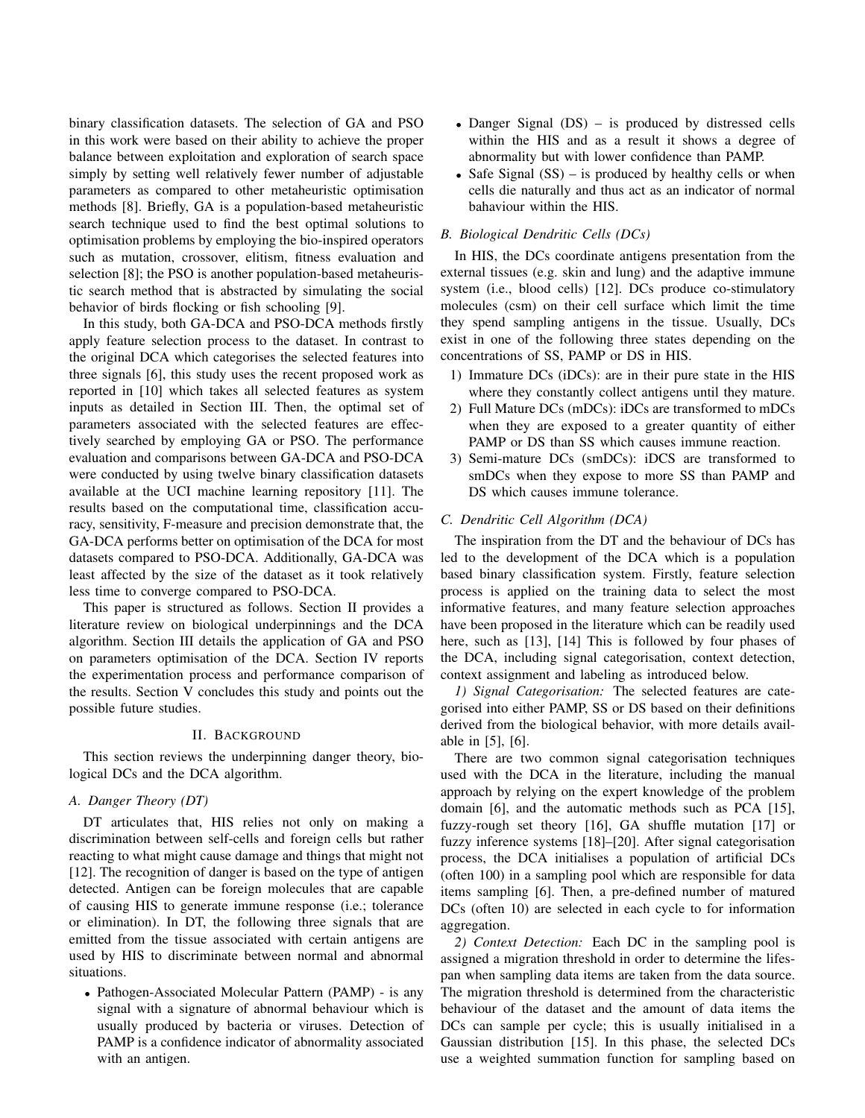binary classification datasets. The selection of GA and PSO in this work were based on their ability to achieve the proper balance between exploitation and exploration of search space simply by setting well relatively fewer number of adjustable parameters as compared to other metaheuristic optimisation methods [8]. Briefly, GA is a population-based metaheuristic search technique used to find the best optimal solutions to optimisation problems by employing the bio-inspired operators such as mutation, crossover, elitism, fitness evaluation and selection [8]; the PSO is another population-based metaheuristic search method that is abstracted by simulating the social behavior of birds flocking or fish schooling [9].

In this study, both GA-DCA and PSO-DCA methods firstly apply feature selection process to the dataset. In contrast to the original DCA which categorises the selected features into three signals [6], this study uses the recent proposed work as reported in [10] which takes all selected features as system inputs as detailed in Section III. Then, the optimal set of parameters associated with the selected features are effectively searched by employing GA or PSO. The performance evaluation and comparisons between GA-DCA and PSO-DCA were conducted by using twelve binary classification datasets available at the UCI machine learning repository [11]. The results based on the computational time, classification accuracy, sensitivity, F-measure and precision demonstrate that, the GA-DCA performs better on optimisation of the DCA for most datasets compared to PSO-DCA. Additionally, GA-DCA was least affected by the size of the dataset as it took relatively less time to converge compared to PSO-DCA.

This paper is structured as follows. Section II provides a literature review on biological underpinnings and the DCA algorithm. Section III details the application of GA and PSO on parameters optimisation of the DCA. Section IV reports the experimentation process and performance comparison of the results. Section V concludes this study and points out the possible future studies.

#### II. BACKGROUND

This section reviews the underpinning danger theory, biological DCs and the DCA algorithm.

#### *A. Danger Theory (DT)*

DT articulates that, HIS relies not only on making a discrimination between self-cells and foreign cells but rather reacting to what might cause damage and things that might not [12]. The recognition of danger is based on the type of antigen detected. Antigen can be foreign molecules that are capable of causing HIS to generate immune response (i.e.; tolerance or elimination). In DT, the following three signals that are emitted from the tissue associated with certain antigens are used by HIS to discriminate between normal and abnormal situations.

• Pathogen-Associated Molecular Pattern (PAMP) - is any signal with a signature of abnormal behaviour which is usually produced by bacteria or viruses. Detection of PAMP is a confidence indicator of abnormality associated with an antigen.

- Danger Signal (DS) is produced by distressed cells within the HIS and as a result it shows a degree of abnormality but with lower confidence than PAMP.
- Safe Signal (SS) is produced by healthy cells or when cells die naturally and thus act as an indicator of normal bahaviour within the HIS.

#### *B. Biological Dendritic Cells (DCs)*

In HIS, the DCs coordinate antigens presentation from the external tissues (e.g. skin and lung) and the adaptive immune system (i.e., blood cells) [12]. DCs produce co-stimulatory molecules (csm) on their cell surface which limit the time they spend sampling antigens in the tissue. Usually, DCs exist in one of the following three states depending on the concentrations of SS, PAMP or DS in HIS.

- 1) Immature DCs (iDCs): are in their pure state in the HIS where they constantly collect antigens until they mature.
- 2) Full Mature DCs (mDCs): iDCs are transformed to mDCs when they are exposed to a greater quantity of either PAMP or DS than SS which causes immune reaction.
- 3) Semi-mature DCs (smDCs): iDCS are transformed to smDCs when they expose to more SS than PAMP and DS which causes immune tolerance.

#### *C. Dendritic Cell Algorithm (DCA)*

The inspiration from the DT and the behaviour of DCs has led to the development of the DCA which is a population based binary classification system. Firstly, feature selection process is applied on the training data to select the most informative features, and many feature selection approaches have been proposed in the literature which can be readily used here, such as [13], [14] This is followed by four phases of the DCA, including signal categorisation, context detection, context assignment and labeling as introduced below.

*1) Signal Categorisation:* The selected features are categorised into either PAMP, SS or DS based on their definitions derived from the biological behavior, with more details available in [5], [6].

There are two common signal categorisation techniques used with the DCA in the literature, including the manual approach by relying on the expert knowledge of the problem domain [6], and the automatic methods such as PCA [15], fuzzy-rough set theory [16], GA shuffle mutation [17] or fuzzy inference systems [18]–[20]. After signal categorisation process, the DCA initialises a population of artificial DCs (often 100) in a sampling pool which are responsible for data items sampling [6]. Then, a pre-defined number of matured DCs (often 10) are selected in each cycle to for information aggregation.

*2) Context Detection:* Each DC in the sampling pool is assigned a migration threshold in order to determine the lifespan when sampling data items are taken from the data source. The migration threshold is determined from the characteristic behaviour of the dataset and the amount of data items the DCs can sample per cycle; this is usually initialised in a Gaussian distribution [15]. In this phase, the selected DCs use a weighted summation function for sampling based on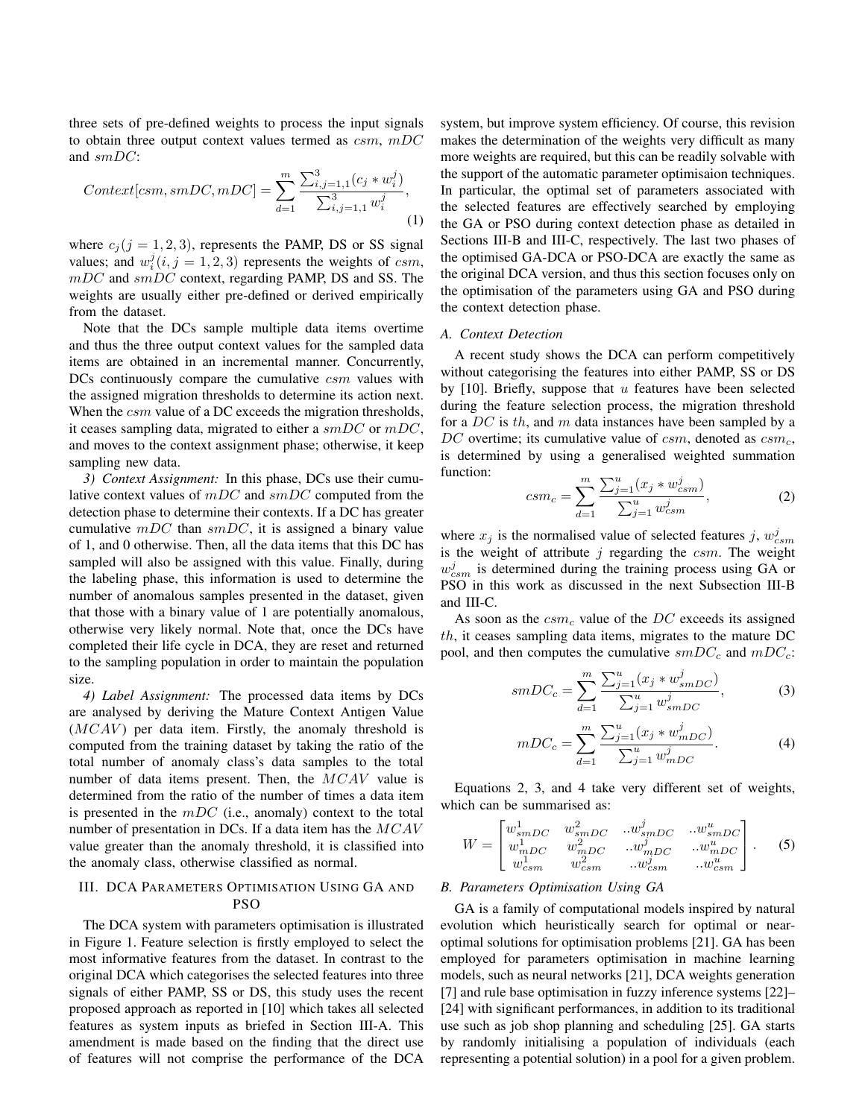three sets of pre-defined weights to process the input signals to obtain three output context values termed as  $csm$ ,  $mDC$ and smDC:

$$
Context[csm, smDC, mDC] = \sum_{d=1}^{m} \frac{\sum_{i,j=1,1}^{3} (c_j * w_i^j)}{\sum_{i,j=1,1}^{3} w_i^j},
$$
\n(1)

where  $c_j$  ( $j = 1, 2, 3$ ), represents the PAMP, DS or SS signal values; and  $w_i^j(i, j = 1, 2, 3)$  represents the weights of csm,  $mDC$  and  $smDC$  context, regarding PAMP, DS and SS. The weights are usually either pre-defined or derived empirically from the dataset.

Note that the DCs sample multiple data items overtime and thus the three output context values for the sampled data items are obtained in an incremental manner. Concurrently, DCs continuously compare the cumulative  $c$ sm values with the assigned migration thresholds to determine its action next. When the  $c$ sm value of a DC exceeds the migration thresholds, it ceases sampling data, migrated to either a  $smDC$  or  $mDC$ , and moves to the context assignment phase; otherwise, it keep sampling new data.

*3) Context Assignment:* In this phase, DCs use their cumulative context values of  $mDC$  and  $smDC$  computed from the detection phase to determine their contexts. If a DC has greater cumulative  $mDC$  than  $smDC$ , it is assigned a binary value of 1, and 0 otherwise. Then, all the data items that this DC has sampled will also be assigned with this value. Finally, during the labeling phase, this information is used to determine the number of anomalous samples presented in the dataset, given that those with a binary value of 1 are potentially anomalous, otherwise very likely normal. Note that, once the DCs have completed their life cycle in DCA, they are reset and returned to the sampling population in order to maintain the population size.

*4) Label Assignment:* The processed data items by DCs are analysed by deriving the Mature Context Antigen Value  $(MCAV)$  per data item. Firstly, the anomaly threshold is computed from the training dataset by taking the ratio of the total number of anomaly class's data samples to the total number of data items present. Then, the MCAV value is determined from the ratio of the number of times a data item is presented in the  $mDC$  (i.e., anomaly) context to the total number of presentation in DCs. If a data item has the MCAV value greater than the anomaly threshold, it is classified into the anomaly class, otherwise classified as normal.

### III. DCA PARAMETERS OPTIMISATION USING GA AND PSO

The DCA system with parameters optimisation is illustrated in Figure 1. Feature selection is firstly employed to select the most informative features from the dataset. In contrast to the original DCA which categorises the selected features into three signals of either PAMP, SS or DS, this study uses the recent proposed approach as reported in [10] which takes all selected features as system inputs as briefed in Section III-A. This amendment is made based on the finding that the direct use of features will not comprise the performance of the DCA system, but improve system efficiency. Of course, this revision makes the determination of the weights very difficult as many more weights are required, but this can be readily solvable with the support of the automatic parameter optimisaion techniques. In particular, the optimal set of parameters associated with the selected features are effectively searched by employing the GA or PSO during context detection phase as detailed in Sections III-B and III-C, respectively. The last two phases of the optimised GA-DCA or PSO-DCA are exactly the same as the original DCA version, and thus this section focuses only on the optimisation of the parameters using GA and PSO during the context detection phase.

#### *A. Context Detection*

A recent study shows the DCA can perform competitively without categorising the features into either PAMP, SS or DS by  $[10]$ . Briefly, suppose that  $u$  features have been selected during the feature selection process, the migration threshold for a  $DC$  is th, and m data instances have been sampled by a DC overtime; its cumulative value of  $csm$ , denoted as  $csm<sub>c</sub>$ , is determined by using a generalised weighted summation function:

$$
csm_c = \sum_{d=1}^{m} \frac{\sum_{j=1}^{u} (x_j * w_{csm}^j)}{\sum_{j=1}^{u} w_{csm}^j},
$$
\n(2)

where  $x_j$  is the normalised value of selected features j,  $w_{csm}^j$ is the weight of attribute  $j$  regarding the  $c$ sm. The weight  $w_{csm}^{j}$  is determined during the training process using GA or PSO in this work as discussed in the next Subsection III-B and III-C.

As soon as the  $csm_c$  value of the DC exceeds its assigned  $th$ , it ceases sampling data items, migrates to the mature DC pool, and then computes the cumulative  $smDC_c$  and  $mDC_c$ :

$$
smDC_c = \sum_{d=1}^{m} \frac{\sum_{j=1}^{u} (x_j * w_{smDC}^j)}{\sum_{j=1}^{u} w_{smDC}^j},
$$
(3)

$$
mDC_c = \sum_{d=1}^{m} \frac{\sum_{j=1}^{u} (x_j * w_{mDC}^j)}{\sum_{j=1}^{u} w_{mDC}^j}.
$$
 (4)

Equations 2, 3, and 4 take very different set of weights, which can be summarised as:

$$
W = \begin{bmatrix} w_{smDC}^1 & w_{smDC}^2 & ...w_{smDC}^j & ...w_{smDC}^u \\ w_{mDC}^1 & w_{mDC}^2 & ...w_{mDC}^j & ...w_{mDC}^u \\ w_{csm}^1 & w_{csm}^2 & ...w_{csm}^j & ...w_{csm}^u \end{bmatrix} .
$$
 (5)

#### *B. Parameters Optimisation Using GA*

GA is a family of computational models inspired by natural evolution which heuristically search for optimal or nearoptimal solutions for optimisation problems [21]. GA has been employed for parameters optimisation in machine learning models, such as neural networks [21], DCA weights generation [7] and rule base optimisation in fuzzy inference systems [22]– [24] with significant performances, in addition to its traditional use such as job shop planning and scheduling [25]. GA starts by randomly initialising a population of individuals (each representing a potential solution) in a pool for a given problem.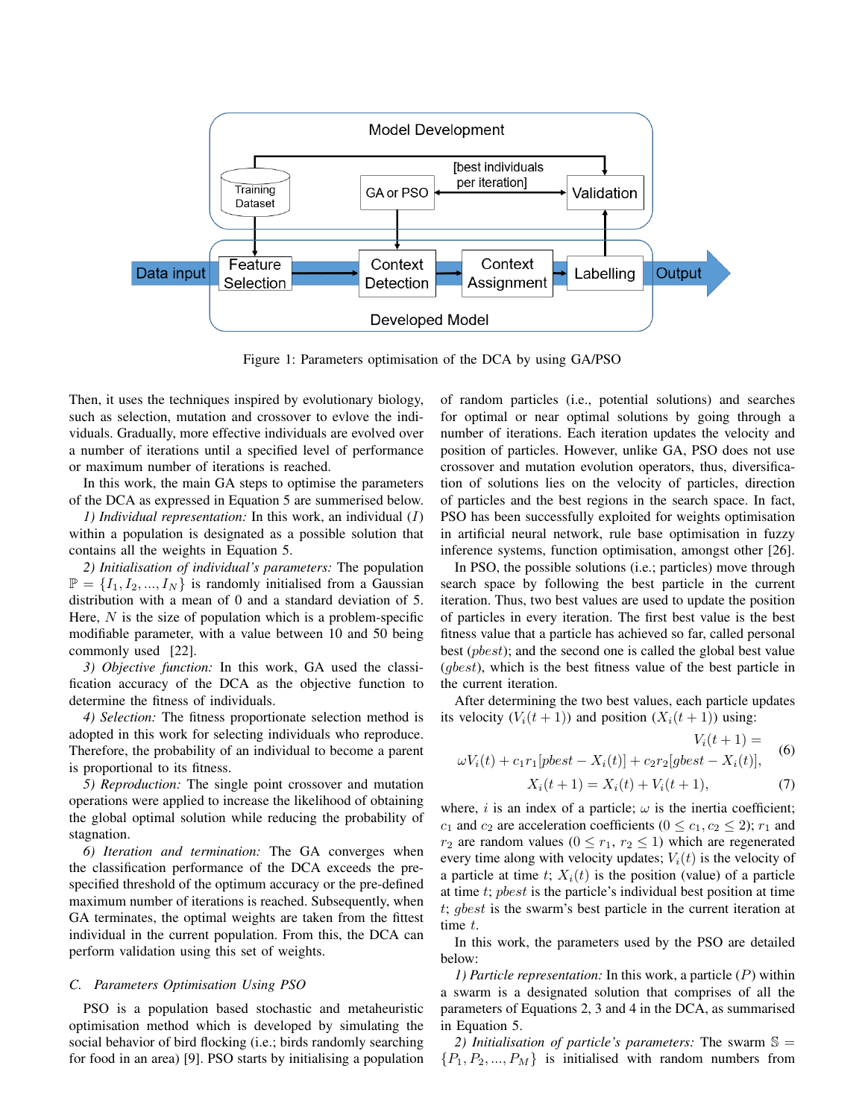

Figure 1: Parameters optimisation of the DCA by using GA/PSO

Then, it uses the techniques inspired by evolutionary biology, such as selection, mutation and crossover to evlove the individuals. Gradually, more effective individuals are evolved over a number of iterations until a specified level of performance or maximum number of iterations is reached.

In this work, the main GA steps to optimise the parameters of the DCA as expressed in Equation 5 are summerised below.

*1) Individual representation:* In this work, an individual (I) within a population is designated as a possible solution that contains all the weights in Equation 5.

*2) Initialisation of individual's parameters:* The population  $\mathbb{P} = \{I_1, I_2, ..., I_N\}$  is randomly initialised from a Gaussian distribution with a mean of 0 and a standard deviation of 5. Here,  $N$  is the size of population which is a problem-specific modifiable parameter, with a value between 10 and 50 being commonly used [22].

*3) Objective function:* In this work, GA used the classification accuracy of the DCA as the objective function to determine the fitness of individuals.

*4) Selection:* The fitness proportionate selection method is adopted in this work for selecting individuals who reproduce. Therefore, the probability of an individual to become a parent is proportional to its fitness.

*5) Reproduction:* The single point crossover and mutation operations were applied to increase the likelihood of obtaining the global optimal solution while reducing the probability of stagnation.

*6) Iteration and termination:* The GA converges when the classification performance of the DCA exceeds the prespecified threshold of the optimum accuracy or the pre-defined maximum number of iterations is reached. Subsequently, when GA terminates, the optimal weights are taken from the fittest individual in the current population. From this, the DCA can perform validation using this set of weights.

#### *C. Parameters Optimisation Using PSO*

PSO is a population based stochastic and metaheuristic optimisation method which is developed by simulating the social behavior of bird flocking (i.e.; birds randomly searching for food in an area) [9]. PSO starts by initialising a population of random particles (i.e., potential solutions) and searches for optimal or near optimal solutions by going through a number of iterations. Each iteration updates the velocity and position of particles. However, unlike GA, PSO does not use crossover and mutation evolution operators, thus, diversification of solutions lies on the velocity of particles, direction of particles and the best regions in the search space. In fact, PSO has been successfully exploited for weights optimisation in artificial neural network, rule base optimisation in fuzzy inference systems, function optimisation, amongst other [26].

In PSO, the possible solutions (i.e.; particles) move through search space by following the best particle in the current iteration. Thus, two best values are used to update the position of particles in every iteration. The first best value is the best fitness value that a particle has achieved so far, called personal best (pbest); and the second one is called the global best value (gbest), which is the best fitness value of the best particle in the current iteration.

After determining the two best values, each particle updates its velocity  $(V_i(t + 1))$  and position  $(X_i(t + 1))$  using:

$$
V_i(t + 1) =
$$
  
\n
$$
\omega V_i(t) + c_1 r_1 [pbest - X_i(t)] + c_2 r_2 [gbest - X_i(t)],
$$
  
\n
$$
X_i(t + 1) = X_i(t) + V_i(t + 1),
$$
\n(7)

where, i is an index of a particle;  $\omega$  is the inertia coefficient;  $c_1$  and  $c_2$  are acceleration coefficients ( $0 \leq c_1, c_2 \leq 2$ );  $r_1$  and  $r_2$  are random values  $(0 \le r_1, r_2 \le 1)$  which are regenerated every time along with velocity updates;  $V_i(t)$  is the velocity of a particle at time t;  $X_i(t)$  is the position (value) of a particle at time t; pbest is the particle's individual best position at time t; gbest is the swarm's best particle in the current iteration at time t.

In this work, the parameters used by the PSO are detailed below:

*1) Particle representation:* In this work, a particle (P) within a swarm is a designated solution that comprises of all the parameters of Equations 2, 3 and 4 in the DCA, as summarised in Equation 5.

*2) Initialisation of particle's parameters:* The swarm S =  $\{P_1, P_2, ..., P_M\}$  is initialised with random numbers from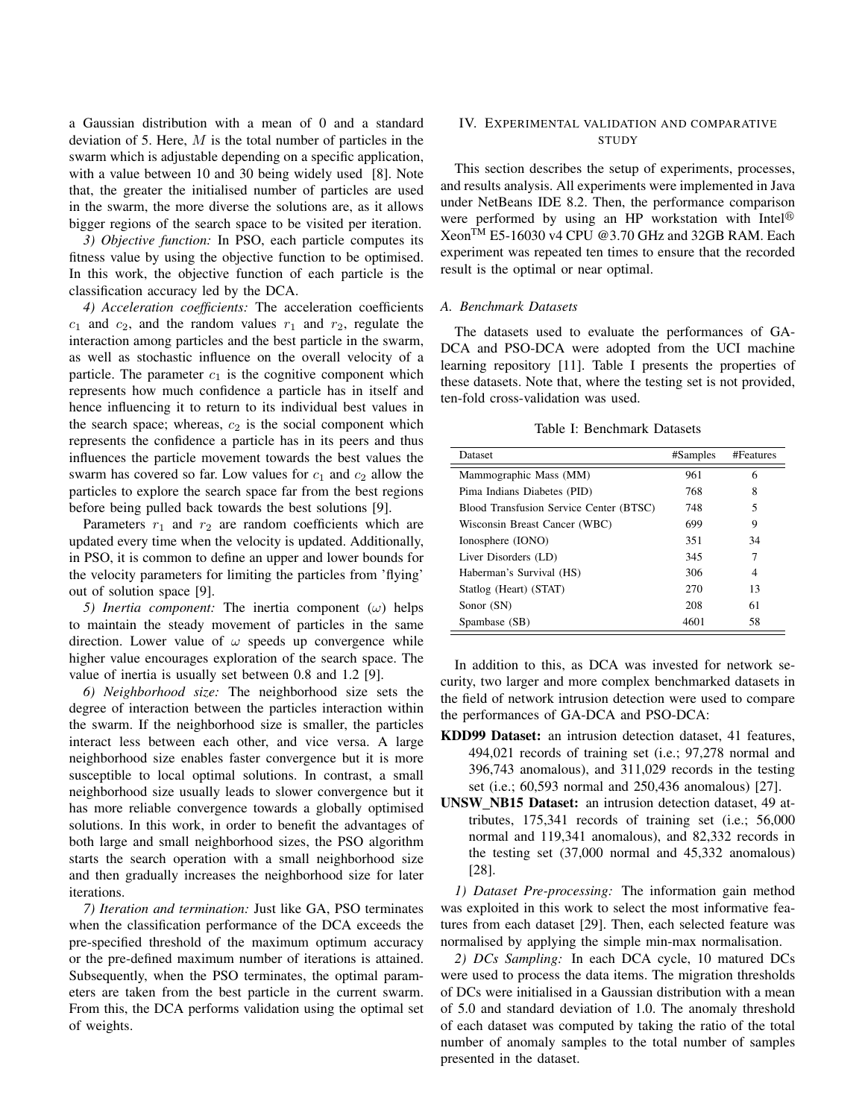a Gaussian distribution with a mean of 0 and a standard deviation of 5. Here,  $M$  is the total number of particles in the swarm which is adjustable depending on a specific application, with a value between 10 and 30 being widely used [8]. Note that, the greater the initialised number of particles are used in the swarm, the more diverse the solutions are, as it allows bigger regions of the search space to be visited per iteration.

*3) Objective function:* In PSO, each particle computes its fitness value by using the objective function to be optimised. In this work, the objective function of each particle is the classification accuracy led by the DCA.

*4) Acceleration coefficients:* The acceleration coefficients  $c_1$  and  $c_2$ , and the random values  $r_1$  and  $r_2$ , regulate the interaction among particles and the best particle in the swarm, as well as stochastic influence on the overall velocity of a particle. The parameter  $c_1$  is the cognitive component which represents how much confidence a particle has in itself and hence influencing it to return to its individual best values in the search space; whereas,  $c_2$  is the social component which represents the confidence a particle has in its peers and thus influences the particle movement towards the best values the swarm has covered so far. Low values for  $c_1$  and  $c_2$  allow the particles to explore the search space far from the best regions before being pulled back towards the best solutions [9].

Parameters  $r_1$  and  $r_2$  are random coefficients which are updated every time when the velocity is updated. Additionally, in PSO, it is common to define an upper and lower bounds for the velocity parameters for limiting the particles from 'flying' out of solution space [9].

*5) Inertia component:* The inertia component  $(\omega)$  helps to maintain the steady movement of particles in the same direction. Lower value of  $\omega$  speeds up convergence while higher value encourages exploration of the search space. The value of inertia is usually set between 0.8 and 1.2 [9].

*6) Neighborhood size:* The neighborhood size sets the degree of interaction between the particles interaction within the swarm. If the neighborhood size is smaller, the particles interact less between each other, and vice versa. A large neighborhood size enables faster convergence but it is more susceptible to local optimal solutions. In contrast, a small neighborhood size usually leads to slower convergence but it has more reliable convergence towards a globally optimised solutions. In this work, in order to benefit the advantages of both large and small neighborhood sizes, the PSO algorithm starts the search operation with a small neighborhood size and then gradually increases the neighborhood size for later iterations.

*7) Iteration and termination:* Just like GA, PSO terminates when the classification performance of the DCA exceeds the pre-specified threshold of the maximum optimum accuracy or the pre-defined maximum number of iterations is attained. Subsequently, when the PSO terminates, the optimal parameters are taken from the best particle in the current swarm. From this, the DCA performs validation using the optimal set of weights.

## IV. EXPERIMENTAL VALIDATION AND COMPARATIVE **STUDY**

This section describes the setup of experiments, processes, and results analysis. All experiments were implemented in Java under NetBeans IDE 8.2. Then, the performance comparison were performed by using an HP workstation with Intel<sup>®</sup> XeonTM E5-16030 v4 CPU @3.70 GHz and 32GB RAM. Each experiment was repeated ten times to ensure that the recorded result is the optimal or near optimal.

#### *A. Benchmark Datasets*

The datasets used to evaluate the performances of GA-DCA and PSO-DCA were adopted from the UCI machine learning repository [11]. Table I presents the properties of these datasets. Note that, where the testing set is not provided, ten-fold cross-validation was used.

Table I: Benchmark Datasets

| Dataset                                 | #Samples | #Features |
|-----------------------------------------|----------|-----------|
| Mammographic Mass (MM)                  | 961      | 6         |
| Pima Indians Diabetes (PID)             | 768      | 8         |
| Blood Transfusion Service Center (BTSC) | 748      | 5         |
| Wisconsin Breast Cancer (WBC)           | 699      | 9         |
| Ionosphere (IONO)                       | 351      | 34        |
| Liver Disorders (LD)                    | 345      | 7         |
| Haberman's Survival (HS)                | 306      | 4         |
| Statlog (Heart) (STAT)                  | 270      | 13        |
| Sonor (SN)                              | 208      | 61        |
| Spambase (SB)                           | 4601     | 58        |

In addition to this, as DCA was invested for network security, two larger and more complex benchmarked datasets in the field of network intrusion detection were used to compare the performances of GA-DCA and PSO-DCA:

- KDD99 Dataset: an intrusion detection dataset, 41 features, 494,021 records of training set (i.e.; 97,278 normal and 396,743 anomalous), and 311,029 records in the testing set (i.e.; 60,593 normal and 250,436 anomalous) [27].
- UNSW NB15 Dataset: an intrusion detection dataset, 49 attributes, 175,341 records of training set (i.e.; 56,000 normal and 119,341 anomalous), and 82,332 records in the testing set (37,000 normal and 45,332 anomalous) [28].

*1) Dataset Pre-processing:* The information gain method was exploited in this work to select the most informative features from each dataset [29]. Then, each selected feature was normalised by applying the simple min-max normalisation.

*2) DCs Sampling:* In each DCA cycle, 10 matured DCs were used to process the data items. The migration thresholds of DCs were initialised in a Gaussian distribution with a mean of 5.0 and standard deviation of 1.0. The anomaly threshold of each dataset was computed by taking the ratio of the total number of anomaly samples to the total number of samples presented in the dataset.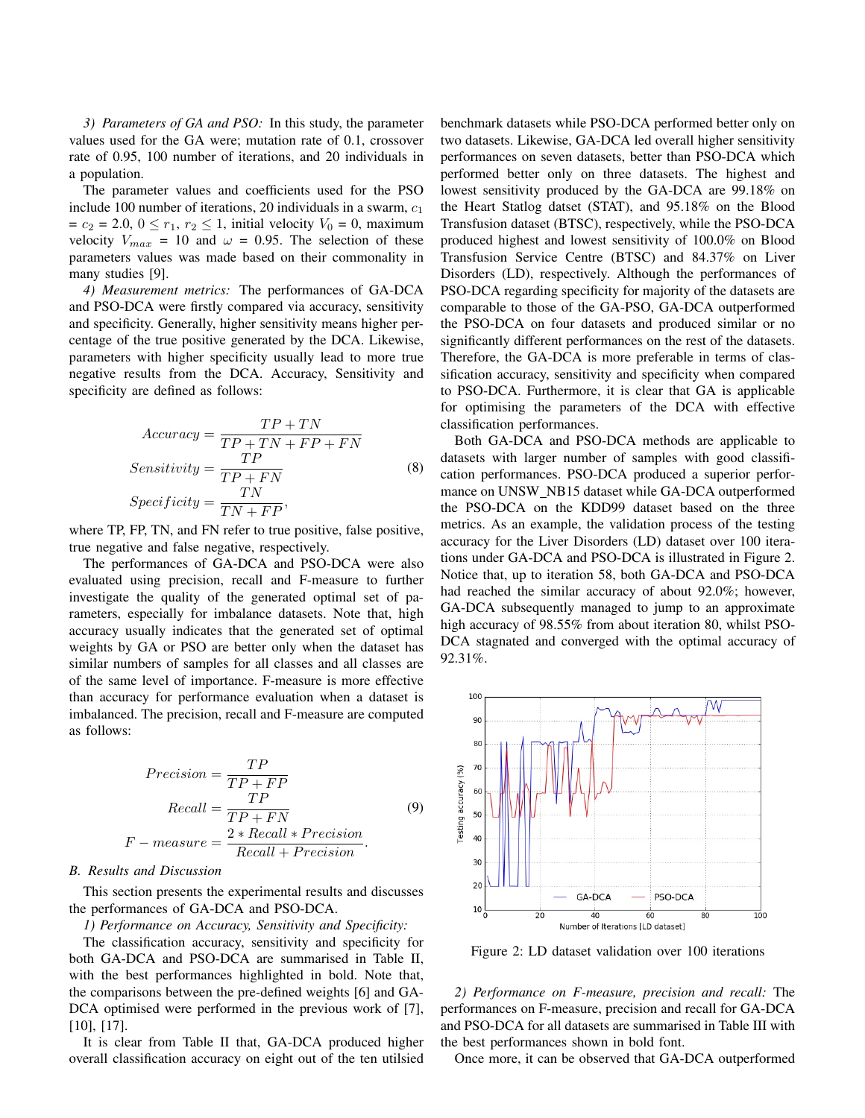*3) Parameters of GA and PSO:* In this study, the parameter values used for the GA were; mutation rate of 0.1, crossover rate of 0.95, 100 number of iterations, and 20 individuals in a population.

The parameter values and coefficients used for the PSO include 100 number of iterations, 20 individuals in a swarm,  $c_1$  $= c_2 = 2.0, 0 \le r_1, r_2 \le 1$ , initial velocity  $V_0 = 0$ , maximum velocity  $V_{max} = 10$  and  $\omega = 0.95$ . The selection of these parameters values was made based on their commonality in many studies [9].

*4) Measurement metrics:* The performances of GA-DCA and PSO-DCA were firstly compared via accuracy, sensitivity and specificity. Generally, higher sensitivity means higher percentage of the true positive generated by the DCA. Likewise, parameters with higher specificity usually lead to more true negative results from the DCA. Accuracy, Sensitivity and specificity are defined as follows:

$$
Accuracy = \frac{TP + TN}{TP + TN + FP + FN}
$$
  
\n
$$
Sensitivity = \frac{TP}{TP + FN}
$$
  
\n
$$
Specificity = \frac{TN}{TN + FP},
$$
  
\n(8)

where TP, FP, TN, and FN refer to true positive, false positive, true negative and false negative, respectively.

The performances of GA-DCA and PSO-DCA were also evaluated using precision, recall and F-measure to further investigate the quality of the generated optimal set of parameters, especially for imbalance datasets. Note that, high accuracy usually indicates that the generated set of optimal weights by GA or PSO are better only when the dataset has similar numbers of samples for all classes and all classes are of the same level of importance. F-measure is more effective than accuracy for performance evaluation when a dataset is imbalanced. The precision, recall and F-measure are computed as follows:

$$
Precision = \frac{TP}{TP + FP}
$$
  
Recall = 
$$
\frac{TP}{TP + FN}
$$
  
F - measure = 
$$
\frac{2 * Recall * Precision}{Recall + Precision}
$$
. (9)

### *B. Results and Discussion*

This section presents the experimental results and discusses the performances of GA-DCA and PSO-DCA.

*1) Performance on Accuracy, Sensitivity and Specificity:*

The classification accuracy, sensitivity and specificity for both GA-DCA and PSO-DCA are summarised in Table II, with the best performances highlighted in bold. Note that, the comparisons between the pre-defined weights [6] and GA-DCA optimised were performed in the previous work of [7], [10], [17].

It is clear from Table II that, GA-DCA produced higher overall classification accuracy on eight out of the ten utilsied benchmark datasets while PSO-DCA performed better only on two datasets. Likewise, GA-DCA led overall higher sensitivity performances on seven datasets, better than PSO-DCA which performed better only on three datasets. The highest and lowest sensitivity produced by the GA-DCA are 99.18% on the Heart Statlog datset (STAT), and 95.18% on the Blood Transfusion dataset (BTSC), respectively, while the PSO-DCA produced highest and lowest sensitivity of 100.0% on Blood Transfusion Service Centre (BTSC) and 84.37% on Liver Disorders (LD), respectively. Although the performances of PSO-DCA regarding specificity for majority of the datasets are comparable to those of the GA-PSO, GA-DCA outperformed the PSO-DCA on four datasets and produced similar or no significantly different performances on the rest of the datasets. Therefore, the GA-DCA is more preferable in terms of classification accuracy, sensitivity and specificity when compared to PSO-DCA. Furthermore, it is clear that GA is applicable for optimising the parameters of the DCA with effective classification performances.

Both GA-DCA and PSO-DCA methods are applicable to datasets with larger number of samples with good classification performances. PSO-DCA produced a superior performance on UNSW NB15 dataset while GA-DCA outperformed the PSO-DCA on the KDD99 dataset based on the three metrics. As an example, the validation process of the testing accuracy for the Liver Disorders (LD) dataset over 100 iterations under GA-DCA and PSO-DCA is illustrated in Figure 2. Notice that, up to iteration 58, both GA-DCA and PSO-DCA had reached the similar accuracy of about 92.0%; however, GA-DCA subsequently managed to jump to an approximate high accuracy of 98.55% from about iteration 80, whilst PSO-DCA stagnated and converged with the optimal accuracy of 92.31%.



Figure 2: LD dataset validation over 100 iterations

*2) Performance on F-measure, precision and recall:* The performances on F-measure, precision and recall for GA-DCA and PSO-DCA for all datasets are summarised in Table III with the best performances shown in bold font.

Once more, it can be observed that GA-DCA outperformed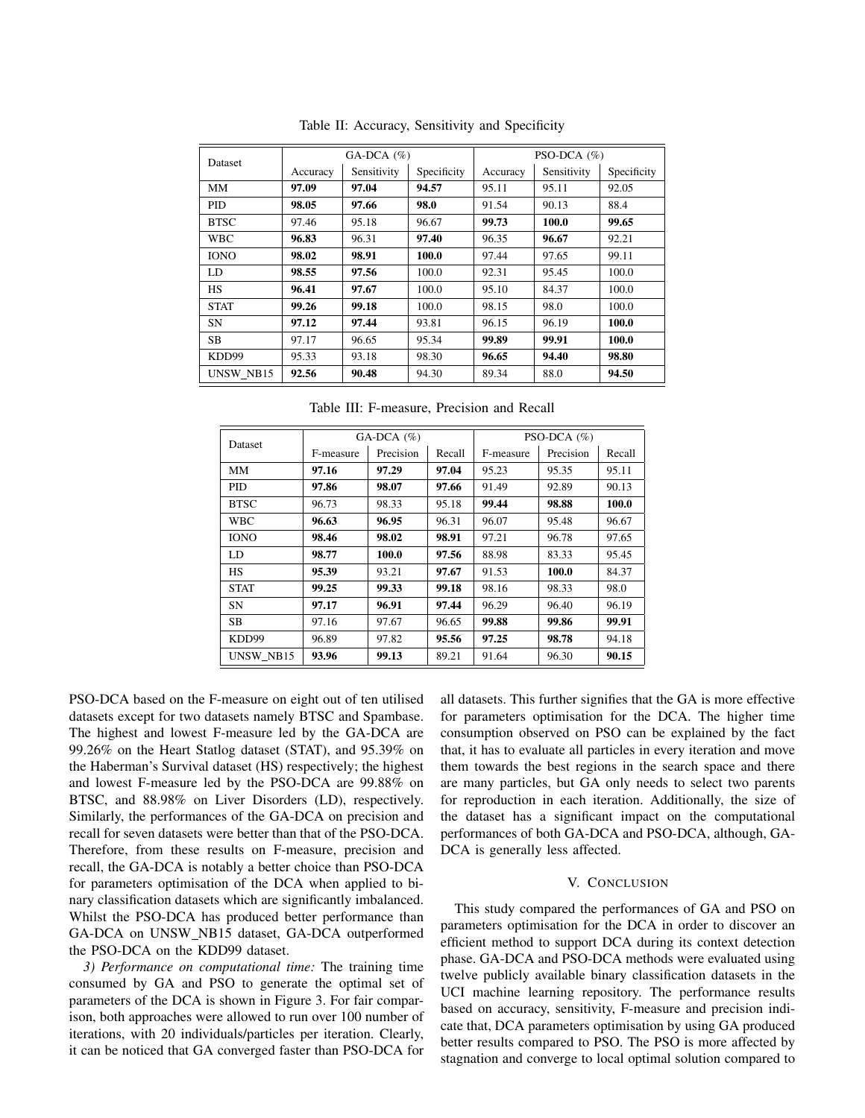| Dataset     | GA-DCA $(\%)$ |             |             | PSO-DCA (%) |             |             |
|-------------|---------------|-------------|-------------|-------------|-------------|-------------|
|             | Accuracy      | Sensitivity | Specificity | Accuracy    | Sensitivity | Specificity |
| MМ          | 97.09         | 97.04       | 94.57       | 95.11       | 95.11       | 92.05       |
| <b>PID</b>  | 98.05         | 97.66       | 98.0        | 91.54       | 90.13       | 88.4        |
| <b>BTSC</b> | 97.46         | 95.18       | 96.67       | 99.73       | 100.0       | 99.65       |
| WBC         | 96.83         | 96.31       | 97.40       | 96.35       | 96.67       | 92.21       |
| <b>IONO</b> | 98.02         | 98.91       | 100.0       | 97.44       | 97.65       | 99.11       |
| LD          | 98.55         | 97.56       | 100.0       | 92.31       | 95.45       | 100.0       |
| HS          | 96.41         | 97.67       | 100.0       | 95.10       | 84.37       | 100.0       |
| <b>STAT</b> | 99.26         | 99.18       | 100.0       | 98.15       | 98.0        | 100.0       |
| <b>SN</b>   | 97.12         | 97.44       | 93.81       | 96.15       | 96.19       | 100.0       |
| <b>SB</b>   | 97.17         | 96.65       | 95.34       | 99.89       | 99.91       | 100.0       |
| KDD99       | 95.33         | 93.18       | 98.30       | 96.65       | 94.40       | 98.80       |
| UNSW NB15   | 92.56         | 90.48       | 94.30       | 89.34       | 88.0        | 94.50       |

Table II: Accuracy, Sensitivity and Specificity

Table III: F-measure, Precision and Recall

| <b>Dataset</b> | GA-DCA $(\%)$ |           |        | PSO-DCA $(\%)$ |           |        |
|----------------|---------------|-----------|--------|----------------|-----------|--------|
|                | F-measure     | Precision | Recall | F-measure      | Precision | Recall |
| MМ             | 97.16         | 97.29     | 97.04  | 95.23          | 95.35     | 95.11  |
| PID            | 97.86         | 98.07     | 97.66  | 91.49          | 92.89     | 90.13  |
| <b>BTSC</b>    | 96.73         | 98.33     | 95.18  | 99.44          | 98.88     | 100.0  |
| <b>WBC</b>     | 96.63         | 96.95     | 96.31  | 96.07          | 95.48     | 96.67  |
| <b>IONO</b>    | 98.46         | 98.02     | 98.91  | 97.21          | 96.78     | 97.65  |
| LD             | 98.77         | 100.0     | 97.56  | 88.98          | 83.33     | 95.45  |
| HS             | 95.39         | 93.21     | 97.67  | 91.53          | 100.0     | 84.37  |
| <b>STAT</b>    | 99.25         | 99.33     | 99.18  | 98.16          | 98.33     | 98.0   |
| <b>SN</b>      | 97.17         | 96.91     | 97.44  | 96.29          | 96.40     | 96.19  |
| <b>SB</b>      | 97.16         | 97.67     | 96.65  | 99.88          | 99.86     | 99.91  |
| KDD99          | 96.89         | 97.82     | 95.56  | 97.25          | 98.78     | 94.18  |
| UNSW NB15      | 93.96         | 99.13     | 89.21  | 91.64          | 96.30     | 90.15  |

PSO-DCA based on the F-measure on eight out of ten utilised datasets except for two datasets namely BTSC and Spambase. The highest and lowest F-measure led by the GA-DCA are 99.26% on the Heart Statlog dataset (STAT), and 95.39% on the Haberman's Survival dataset (HS) respectively; the highest and lowest F-measure led by the PSO-DCA are 99.88% on BTSC, and 88.98% on Liver Disorders (LD), respectively. Similarly, the performances of the GA-DCA on precision and recall for seven datasets were better than that of the PSO-DCA. Therefore, from these results on F-measure, precision and recall, the GA-DCA is notably a better choice than PSO-DCA for parameters optimisation of the DCA when applied to binary classification datasets which are significantly imbalanced. Whilst the PSO-DCA has produced better performance than GA-DCA on UNSW\_NB15 dataset, GA-DCA outperformed the PSO-DCA on the KDD99 dataset.

*3) Performance on computational time:* The training time consumed by GA and PSO to generate the optimal set of parameters of the DCA is shown in Figure 3. For fair comparison, both approaches were allowed to run over 100 number of iterations, with 20 individuals/particles per iteration. Clearly, it can be noticed that GA converged faster than PSO-DCA for all datasets. This further signifies that the GA is more effective for parameters optimisation for the DCA. The higher time consumption observed on PSO can be explained by the fact that, it has to evaluate all particles in every iteration and move them towards the best regions in the search space and there are many particles, but GA only needs to select two parents for reproduction in each iteration. Additionally, the size of the dataset has a significant impact on the computational performances of both GA-DCA and PSO-DCA, although, GA-DCA is generally less affected.

#### V. CONCLUSION

This study compared the performances of GA and PSO on parameters optimisation for the DCA in order to discover an efficient method to support DCA during its context detection phase. GA-DCA and PSO-DCA methods were evaluated using twelve publicly available binary classification datasets in the UCI machine learning repository. The performance results based on accuracy, sensitivity, F-measure and precision indicate that, DCA parameters optimisation by using GA produced better results compared to PSO. The PSO is more affected by stagnation and converge to local optimal solution compared to